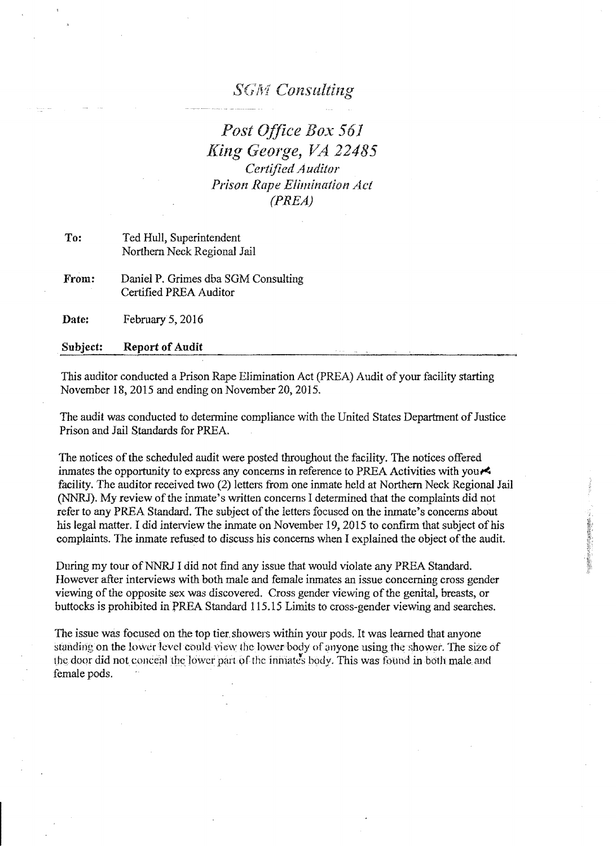## **SGM** Consulting

Post Office Box 561 *King George, VA 22485 Certified Auditor Prison Rape Elimination Act (PREA)* 

To: Ted Hull, Superintendent Northern Neck Regional Jail

From: Daniel P. Grimes dba SGM Consulting Certified PREA Auditor

Date: February 5, 2016

Subject: Report of Audit

This auditor conducted a Prison Rape Elimination Act (PREA) Audit of your facility starting November 18,2015 and ending on November 20,2015.

The audit was conducted to determine compliance with the United States Department of Justice Prison and Jail Standards for PREA.

The notices of the scheduled audit were posted throughout the facility. The notices offered inmates the opportunity to express any concerns in reference to PREA Activities with you facility. The auditor received two (2) letters from one inmate held at Northern Neck Regional Jail (NNRJ). My review of the inmate's written concerns I determined that the complaints did not refer to any PREA Standard. The subject of the letters focused on the inmate's concerns about his legal matter. I did interview the inmate on November 19, 2015 to confirm that subject of his complaints. The inmate refused to discuss his concerns when I explained the object of the audit.

During my tour of NNRJ I did not find any issue that would violate any PREA Standard. However after interviews with both male and female inmates an issue concerning cross gender viewing of the opposite sex was discovered. Cross gender viewing of the genital, breasts, or buttocks is prohibited in PREA Standard 115.15 Limits to cross-gender viewing and searches.

The issue was focused on the top tier. showers within your pods. It was learned that anyone standing on the lower level could view the lower body of anyone using the shower. The size of the door did not conceal the lower part of the inmates body. This was found in both male and female pods.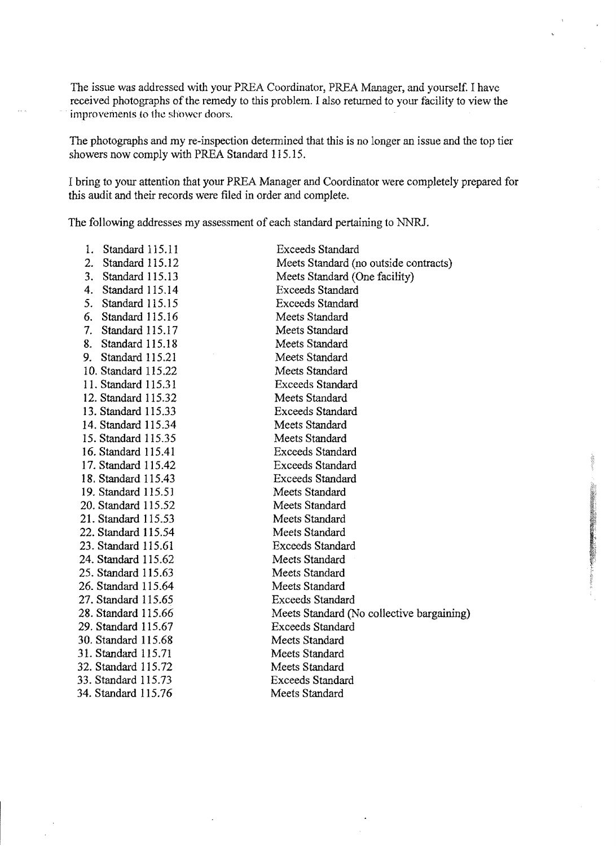The issue was addressed with your PREA Coordinator, PREA Manager, and yourself. I have received photographs of the remedy to this problem. I also retumed to your facility to view the improvements to the shower doors.

The photographs and my re-inspection determined that this is no longer an issue and the top tier showers now comply with PREA Standard 115.15.

I bring to your attention that your PREA Manager and Coordinator were completely prepared for this audit and their records were filed in order and complete.

The following addresses my assessment of each standard pertaining to NNRl.

| Standard 115.11<br>1. | <b>Exceeds Standard</b>                   |
|-----------------------|-------------------------------------------|
| 2.<br>Standard 115.12 | Meets Standard (no outside contracts)     |
| 3.<br>Standard 115.13 | Meets Standard (One facility)             |
| 4.<br>Standard 115.14 | <b>Exceeds Standard</b>                   |
| 5.<br>Standard 115.15 | <b>Exceeds Standard</b>                   |
| 6.<br>Standard 115.16 | Meets Standard                            |
| 7.<br>Standard 115.17 | Meets Standard                            |
| 8.<br>Standard 115.18 | Meets Standard                            |
| Standard 115.21<br>9. | Meets Standard                            |
| 10. Standard 115.22   | Meets Standard                            |
| 11. Standard 115.31   | <b>Exceeds Standard</b>                   |
| 12. Standard 115.32   | Meets Standard                            |
| 13. Standard 115.33   | <b>Exceeds Standard</b>                   |
| 14. Standard 115.34   | Meets Standard                            |
| 15. Standard 115.35   | Meets Standard                            |
| 16. Standard 115.41   | <b>Exceeds Standard</b>                   |
| 17. Standard 115.42   | <b>Exceeds Standard</b>                   |
| 18. Standard 115.43   | <b>Exceeds Standard</b>                   |
| 19. Standard 115.51   | Meets Standard                            |
| 20. Standard 115.52   | Meets Standard                            |
| 21. Standard 115.53   | Meets Standard                            |
| 22. Standard 115.54   | Meets Standard                            |
| 23. Standard 115.61   | <b>Exceeds Standard</b>                   |
| 24. Standard 115.62   | Meets Standard                            |
| 25. Standard 115.63   | Meets Standard                            |
| 26. Standard 115.64   | Meets Standard                            |
| 27. Standard 115.65   | <b>Exceeds Standard</b>                   |
| 28. Standard 115.66   | Meets Standard (No collective bargaining) |
| 29. Standard 115.67   | <b>Exceeds Standard</b>                   |
| 30. Standard 115.68   | Meets Standard                            |
| 31. Standard 115.71   | Meets Standard                            |
| 32. Standard 115.72   | Meets Standard                            |
| 33. Standard 115.73   | <b>Exceeds Standard</b>                   |
| 34. Standard 115.76   | Meets Standard                            |